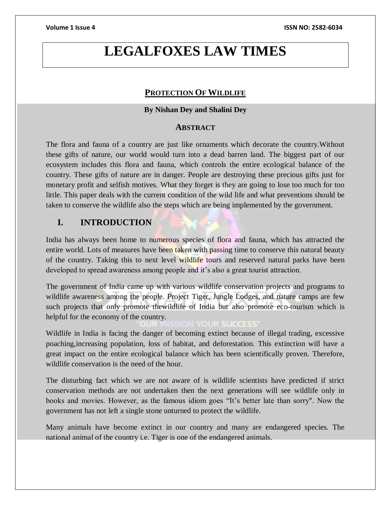# **LEGALFOXES LAW TIMES**

# **PROTECTION OF WILDLIFE**

### **By Nishan Dey and Shalini Dey**

### **ABSTRACT**

The flora and fauna of a country are just like ornaments which decorate the country.Without these gifts of nature, our world would turn into a dead barren land. The biggest part of our ecosystem includes this flora and fauna, which controls the entire ecological balance of the country. These gifts of nature are in danger. People are destroying these precious gifts just for monetary profit and selfish motives. What they forget is they are going to lose too much for too little. This paper deals with the current condition of the wild life and what preventions should be taken to conserve the wildlife also the steps which are being implemented by the government.

# **I. INTRODUCTION**

India has always been home to numerous species of flora and fauna, which has attracted the entire world. Lots of measures have been taken with passing time to conserve this natural beauty of the country. Taking this to next level wildlife tours and reserved natural parks have been developed to spread awareness among people and it's also a great tourist attraction.

The government of India came up with various wildlife conservation projects and programs to wildlife awareness among the people. Project Tiger, Jungle Lodges, and nature camps are few such projects that only promote thewildlife of India but also promote eco-tourism which is helpful for the economy of the country.

YOUR SUCCESS

Wildlife in India is facing the danger of becoming extinct because of illegal trading, excessive poaching,increasing population, loss of habitat, and deforestation. This extinction will have a great impact on the entire ecological balance which has been scientifically proven. Therefore, wildlife conservation is the need of the hour.

The disturbing fact which we are not aware of is wildlife scientists have predicted if strict conservation methods are not undertaken then the next generations will see wildlife only in books and movies. However, as the famous idiom goes "It's better late than sorry". Now the government has not left a single stone unturned to protect the wildlife.

Many animals have become extinct in our country and many are endangered species. The national animal of the country i.e. Tiger is one of the endangered animals.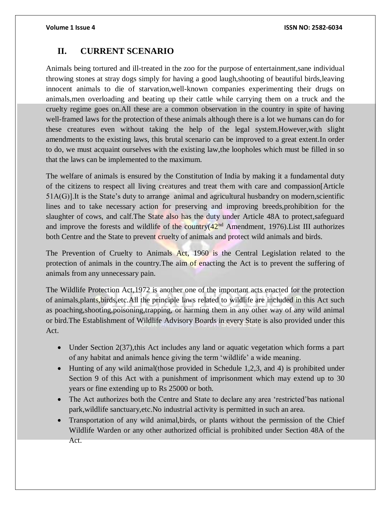# **II. CURRENT SCENARIO**

Animals being tortured and ill-treated in the zoo for the purpose of entertainment,sane individual throwing stones at stray dogs simply for having a good laugh,shooting of beautiful birds,leaving innocent animals to die of starvation,well-known companies experimenting their drugs on animals,men overloading and beating up their cattle while carrying them on a truck and the cruelty regime goes on.All these are a common observation in the country in spite of having well-framed laws for the protection of these animals although there is a lot we humans can do for these creatures even without taking the help of the legal system.However,with slight amendments to the existing laws, this brutal scenario can be improved to a great extent.In order to do, we must acquaint ourselves with the existing law,the loopholes which must be filled in so that the laws can be implemented to the maximum.

The welfare of animals is ensured by the Constitution of India by making it a fundamental duty of the citizens to respect all living creatures and treat them with care and compassion[Article 51A(G)].It is the State's duty to arrange animal and agricultural husbandry on modern,scientific lines and to take necessary action for preserving and improving breeds,prohibition for the slaughter of cows, and calf.The State also has the duty under Article 48A to protect,safeguard and improve the forests and wildlife of the country $(42<sup>nd</sup>$  Amendment, 1976). List III authorizes both Centre and the State to prevent cruelty of animals and protect wild animals and birds.

The Prevention of Cruelty to Animals Act, 1960 is the Central Legislation related to the protection of animals in the country. The aim of enacting the Act is to prevent the suffering of animals from any unnecessary pain.

The Wildlife Protection Act,1972 is another one of the important acts enacted for the protection of animals,plants,birds,etc.All the principle laws related to wildlife are included in this Act such as poaching,shooting,poisoning,trapping, or harming them in any other way of any wild animal or bird.The Establishment of Wildlife Advisory Boards in every State is also provided under this Act.

- Under Section 2(37), this Act includes any land or aquatic vegetation which forms a part of any habitat and animals hence giving the term 'wildlife' a wide meaning.
- Hunting of any wild animal(those provided in Schedule 1,2,3, and 4) is prohibited under Section 9 of this Act with a punishment of imprisonment which may extend up to 30 years or fine extending up to Rs 25000 or both.
- The Act authorizes both the Centre and State to declare any area 'restricted'bas national park,wildlife sanctuary,etc.No industrial activity is permitted in such an area.
- Transportation of any wild animal, birds, or plants without the permission of the Chief Wildlife Warden or any other authorized official is prohibited under Section 48A of the Act.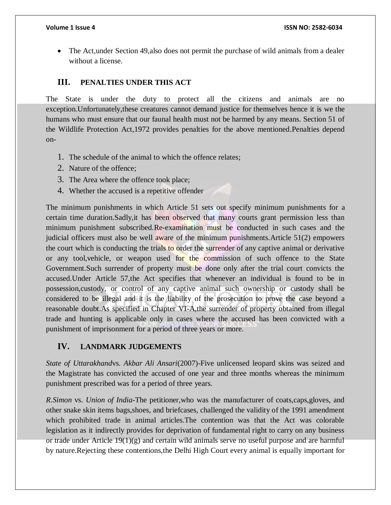• The Act, under Section 49, also does not permit the purchase of wild animals from a dealer without a license.

### **III. PENALTIES UNDER THIS ACT**

The State is under the duty to protect all the citizens and animals are no exception.Unfortunately,these creatures cannot demand justice for themselves hence it is we the humans who must ensure that our faunal health must not be harmed by any means. Section 51 of the Wildlife Protection Act,1972 provides penalties for the above mentioned.Penalties depend on-

- 1. The schedule of the animal to which the offence relates;
- 2. Nature of the offence;
- 3. The Area where the offence took place;
- 4. Whether the accused is a repetitive offender

The minimum punishments in which Article 51 sets out specify minimum punishments for a certain time duration.Sadly,it has been observed that many courts grant permission less than minimum punishment subscribed.Re-examination must be conducted in such cases and the judicial officers must also be well aware of the minimum punishments.Article 51(2) empowers the court which is conducting the trials to order the surrender of any captive animal or derivative or any tool,vehicle, or weapon used for the commission of such offence to the State Government.Such surrender of property must be done only after the trial court convicts the accused.Under Article 57,the Act specifies that whenever an individual is found to be in possession,custody, or control of any captive animal such ownership or custody shall be considered to be illegal and it is the liability of the prosecution to prove the case beyond a reasonable doubt.As specified in Chapter VI-A,the surrender of property obtained from illegal trade and hunting is applicable only in cases where the accused has been convicted with a punishment of imprisonment for a period of three years or more.

#### **IV. LANDMARK JUDGEMENTS**

*State of Uttarakhand*vs. *Akbar Ali Ansari*(2007)-Five unlicensed leopard skins was seized and the Magistrate has convicted the accused of one year and three months whereas the minimum punishment prescribed was for a period of three years.

*R.Simon* vs. *Union of India*-The petitioner,who was the manufacturer of coats,caps,gloves, and other snake skin items bags,shoes, and briefcases, challenged the validity of the 1991 amendment which prohibited trade in animal articles.The contention was that the Act was colorable legislation as it indirectly provides for deprivation of fundamental right to carry on any business or trade under Article 19(1)(g) and certain wild animals serve no useful purpose and are harmful by nature.Rejecting these contentions,the Delhi High Court every animal is equally important for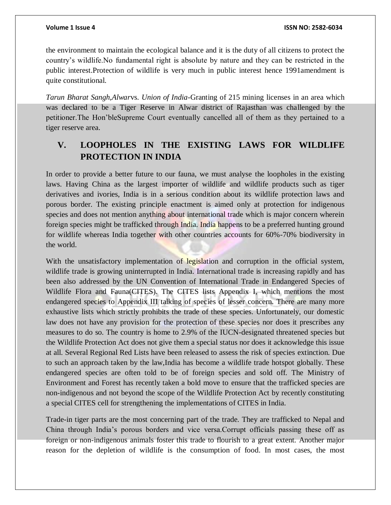the environment to maintain the ecological balance and it is the duty of all citizens to protect the country's wildlife.No fundamental right is absolute by nature and they can be restricted in the public interest.Protection of wildlife is very much in public interest hence 1991amendment is quite constitutional.

*Tarun Bharat Sangh,Alwar*vs. *Union of India*-Granting of 215 mining licenses in an area which was declared to be a Tiger Reserve in Alwar district of Rajasthan was challenged by the petitioner.The Hon'bleSupreme Court eventually cancelled all of them as they pertained to a tiger reserve area.

# **V. LOOPHOLES IN THE EXISTING LAWS FOR WILDLIFE PROTECTION IN INDIA**

In order to provide a better future to our fauna, we must analyse the loopholes in the existing laws. Having China as the largest importer of wildlife and wildlife products such as tiger derivatives and ivories, India is in a serious condition about its wildlife protection laws and porous border. The existing principle enactment is aimed only at protection for indigenous species and does not mention anything about international trade which is major concern wherein foreign species might be trafficked through India. India happens to be a preferred hunting ground for wildlife whereas India together with other countries accounts for 60%-70% biodiversity in the world.

With the unsatisfactory implementation of legislation and corruption in the official system, wildlife trade is growing uninterrupted in India. International trade is increasing rapidly and has been also addressed by the UN Convention of International Trade in Endangered Species of Wildlife Flora and Fauna(CITES). The CITES lists Appendix I, which mentions the most endangered species to Appendix III talking of species of lesser concern. There are many more exhaustive lists which strictly prohibits the trade of these species. Unfortunately, our domestic law does not have any provision for the protection of these species nor does it prescribes any measures to do so. The country is home to 2.9% of the IUCN-designated threatened species but the Wildlife Protection Act does not give them a special status nor does it acknowledge this issue at all. Several Regional Red Lists have been released to assess the risk of species extinction. Due to such an approach taken by the law,India has become a wildlife trade hotspot globally. These endangered species are often told to be of foreign species and sold off. The Ministry of Environment and Forest has recently taken a bold move to ensure that the trafficked species are non-indigenous and not beyond the scope of the Wildlife Protection Act by recently constituting a special CITES cell for strengthening the implementations of CITES in India.

Trade-in tiger parts are the most concerning part of the trade. They are trafficked to Nepal and China through India's porous borders and vice versa.Corrupt officials passing these off as foreign or non-indigenous animals foster this trade to flourish to a great extent. Another major reason for the depletion of wildlife is the consumption of food. In most cases, the most